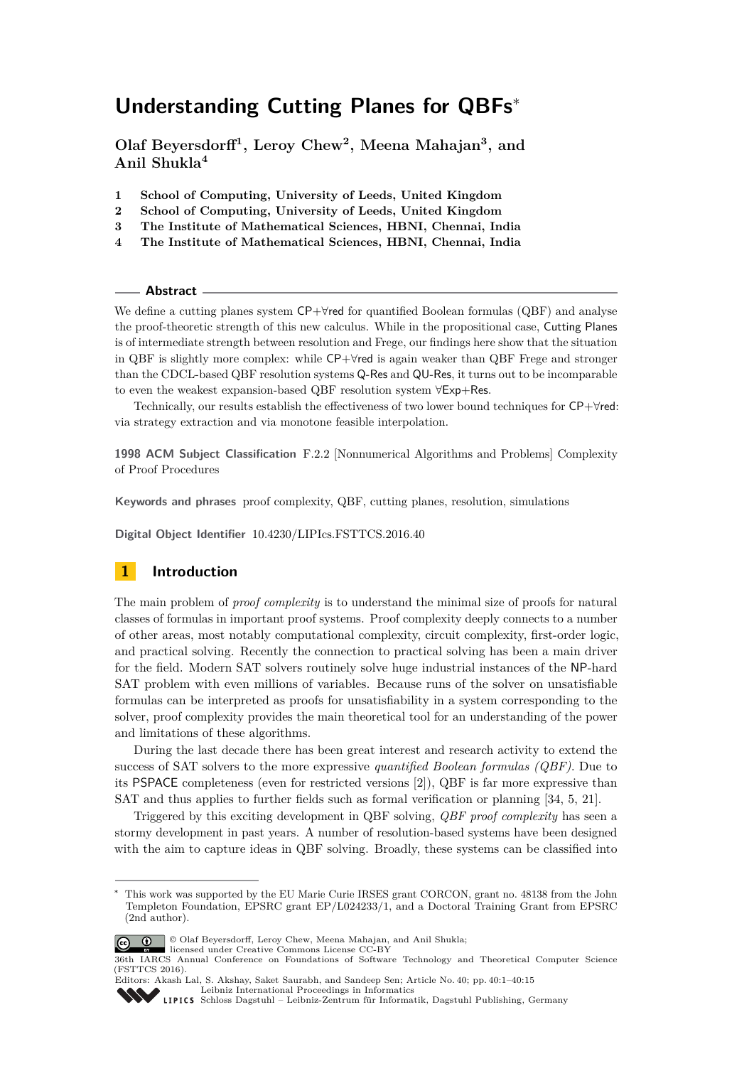# **Understanding Cutting Planes for QBFs**<sup>∗</sup>

**Olaf Beyersdorff<sup>1</sup> , Leroy Chew<sup>2</sup> , Meena Mahajan<sup>3</sup> , and Anil Shukla<sup>4</sup>**

- **1 School of Computing, University of Leeds, United Kingdom**
- **2 School of Computing, University of Leeds, United Kingdom**
- **3 The Institute of Mathematical Sciences, HBNI, Chennai, India**
- **4 The Institute of Mathematical Sciences, HBNI, Chennai, India**

#### **Abstract**

We define a cutting planes system CP+∀red for quantified Boolean formulas (QBF) and analyse the proof-theoretic strength of this new calculus. While in the propositional case, Cutting Planes is of intermediate strength between resolution and Frege, our findings here show that the situation in QBF is slightly more complex: while CP+∀red is again weaker than QBF Frege and stronger than the CDCL-based QBF resolution systems Q-Res and QU-Res, it turns out to be incomparable to even the weakest expansion-based QBF resolution system ∀Exp+Res.

Technically, our results establish the effectiveness of two lower bound techniques for CP+∀red: via strategy extraction and via monotone feasible interpolation.

**1998 ACM Subject Classification** F.2.2 [Nonnumerical Algorithms and Problems] Complexity of Proof Procedures

**Keywords and phrases** proof complexity, QBF, cutting planes, resolution, simulations

**Digital Object Identifier** [10.4230/LIPIcs.FSTTCS.2016.40](http://dx.doi.org/10.4230/LIPIcs.FSTTCS.2016.40)

## **1 Introduction**

The main problem of *proof complexity* is to understand the minimal size of proofs for natural classes of formulas in important proof systems. Proof complexity deeply connects to a number of other areas, most notably computational complexity, circuit complexity, first-order logic, and practical solving. Recently the connection to practical solving has been a main driver for the field. Modern SAT solvers routinely solve huge industrial instances of the NP-hard SAT problem with even millions of variables. Because runs of the solver on unsatisfiable formulas can be interpreted as proofs for unsatisfiability in a system corresponding to the solver, proof complexity provides the main theoretical tool for an understanding of the power and limitations of these algorithms.

During the last decade there has been great interest and research activity to extend the success of SAT solvers to the more expressive *quantified Boolean formulas (QBF)*. Due to its PSPACE completeness (even for restricted versions [\[2\]](#page-12-0)), QBF is far more expressive than SAT and thus applies to further fields such as formal verification or planning [\[34,](#page-14-0) [5,](#page-12-1) [21\]](#page-13-0).

Triggered by this exciting development in QBF solving, *QBF proof complexity* has seen a stormy development in past years. A number of resolution-based systems have been designed with the aim to capture ideas in QBF solving. Broadly, these systems can be classified into

This work was supported by the EU Marie Curie IRSES grant CORCON, grant no. 48138 from the John Templeton Foundation, EPSRC grant EP/L024233/1, and a Doctoral Training Grant from EPSRC (2nd author).



licensed under Creative Commons License CC-BY



Editors: Akash Lal, S. Akshay, Saket Saurabh, and Sandeep Sen; Article No. 40; pp. 40:1–40[:15](#page-14-1) [Leibniz International Proceedings in Informatics](http://www.dagstuhl.de/lipics/)

[Schloss Dagstuhl – Leibniz-Zentrum für Informatik, Dagstuhl Publishing, Germany](http://www.dagstuhl.de)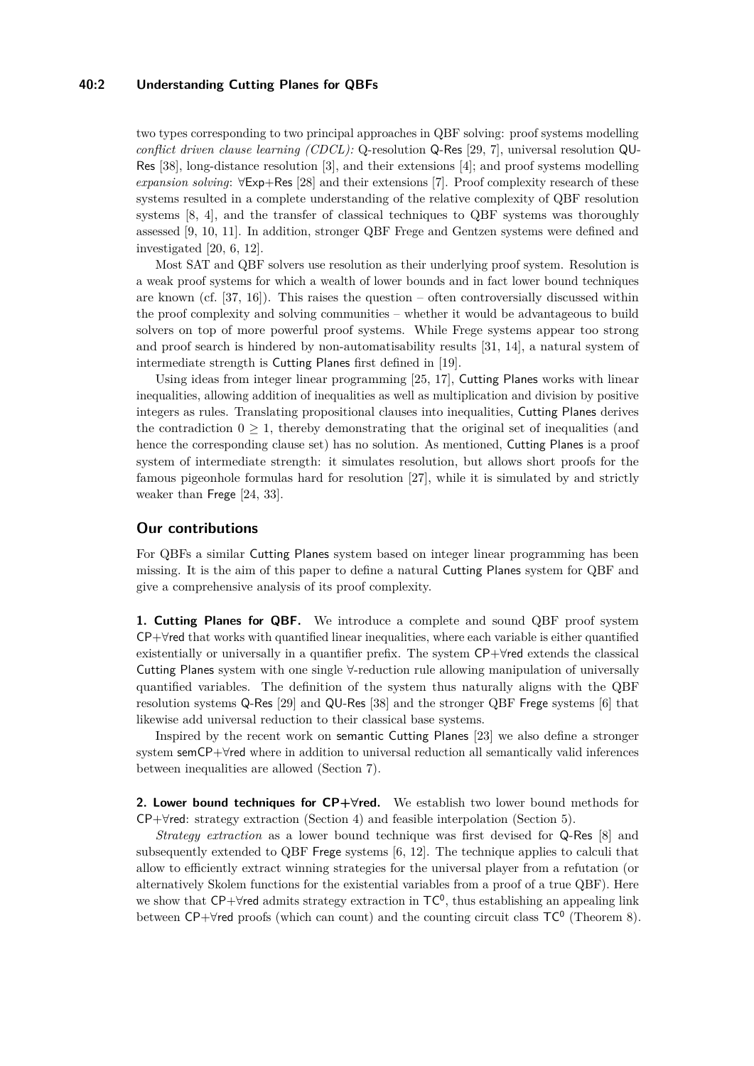## **40:2 Understanding Cutting Planes for QBFs**

two types corresponding to two principal approaches in QBF solving: proof systems modelling *conflict driven clause learning (CDCL):* Q-resolution Q-Res [\[29,](#page-14-2) [7\]](#page-13-1), universal resolution QU-Res [\[38\]](#page-14-3), long-distance resolution [\[3\]](#page-12-2), and their extensions [\[4\]](#page-12-3); and proof systems modelling *expansion solving*: ∀Exp+Res [\[28\]](#page-14-4) and their extensions [\[7\]](#page-13-1). Proof complexity research of these systems resulted in a complete understanding of the relative complexity of QBF resolution systems [\[8,](#page-13-2) [4\]](#page-12-3), and the transfer of classical techniques to QBF systems was thoroughly assessed [\[9,](#page-13-3) [10,](#page-13-4) [11\]](#page-13-5). In addition, stronger QBF Frege and Gentzen systems were defined and investigated [\[20,](#page-13-6) [6,](#page-12-4) [12\]](#page-13-7).

Most SAT and QBF solvers use resolution as their underlying proof system. Resolution is a weak proof systems for which a wealth of lower bounds and in fact lower bound techniques are known (cf. [\[37,](#page-14-5) [16\]](#page-13-8)). This raises the question – often controversially discussed within the proof complexity and solving communities – whether it would be advantageous to build solvers on top of more powerful proof systems. While Frege systems appear too strong and proof search is hindered by non-automatisability results [\[31,](#page-14-6) [14\]](#page-13-9), a natural system of intermediate strength is Cutting Planes first defined in [\[19\]](#page-13-10).

Using ideas from integer linear programming [\[25,](#page-13-11) [17\]](#page-13-12), Cutting Planes works with linear inequalities, allowing addition of inequalities as well as multiplication and division by positive integers as rules. Translating propositional clauses into inequalities, Cutting Planes derives the contradiction  $0 \geq 1$ , thereby demonstrating that the original set of inequalities (and hence the corresponding clause set) has no solution. As mentioned, Cutting Planes is a proof system of intermediate strength: it simulates resolution, but allows short proofs for the famous pigeonhole formulas hard for resolution [\[27\]](#page-14-7), while it is simulated by and strictly weaker than Frege [\[24,](#page-13-13) [33\]](#page-14-8).

## **Our contributions**

For QBFs a similar Cutting Planes system based on integer linear programming has been missing. It is the aim of this paper to define a natural Cutting Planes system for QBF and give a comprehensive analysis of its proof complexity.

**1. Cutting Planes for QBF.** We introduce a complete and sound QBF proof system CP+∀red that works with quantified linear inequalities, where each variable is either quantified existentially or universally in a quantifier prefix. The system CP+∀red extends the classical Cutting Planes system with one single ∀-reduction rule allowing manipulation of universally quantified variables. The definition of the system thus naturally aligns with the QBF resolution systems Q-Res [\[29\]](#page-14-2) and QU-Res [\[38\]](#page-14-3) and the stronger QBF Frege systems [\[6\]](#page-12-4) that likewise add universal reduction to their classical base systems.

Inspired by the recent work on semantic Cutting Planes [\[23\]](#page-13-14) we also define a stronger system semCP+∀red where in addition to universal reduction all semantically valid inferences between inequalities are allowed (Section [7\)](#page-11-0).

**2. Lower bound techniques for CP+∀red.** We establish two lower bound methods for  $CP+\forall$ red: strategy extraction (Section [4\)](#page-7-0) and feasible interpolation (Section [5\)](#page-8-0).

*Strategy extraction* as a lower bound technique was first devised for Q-Res [\[8\]](#page-13-2) and subsequently extended to QBF Frege systems [\[6,](#page-12-4) [12\]](#page-13-7). The technique applies to calculi that allow to efficiently extract winning strategies for the universal player from a refutation (or alternatively Skolem functions for the existential variables from a proof of a true QBF). Here we show that CP+ $\forall$ red admits strategy extraction in TC<sup>0</sup>, thus establishing an appealing link between  $\mathsf{CP}+\forall$ red proofs (which can count) and the counting circuit class  $\mathsf{TC}^0$  (Theorem [8\)](#page-7-1).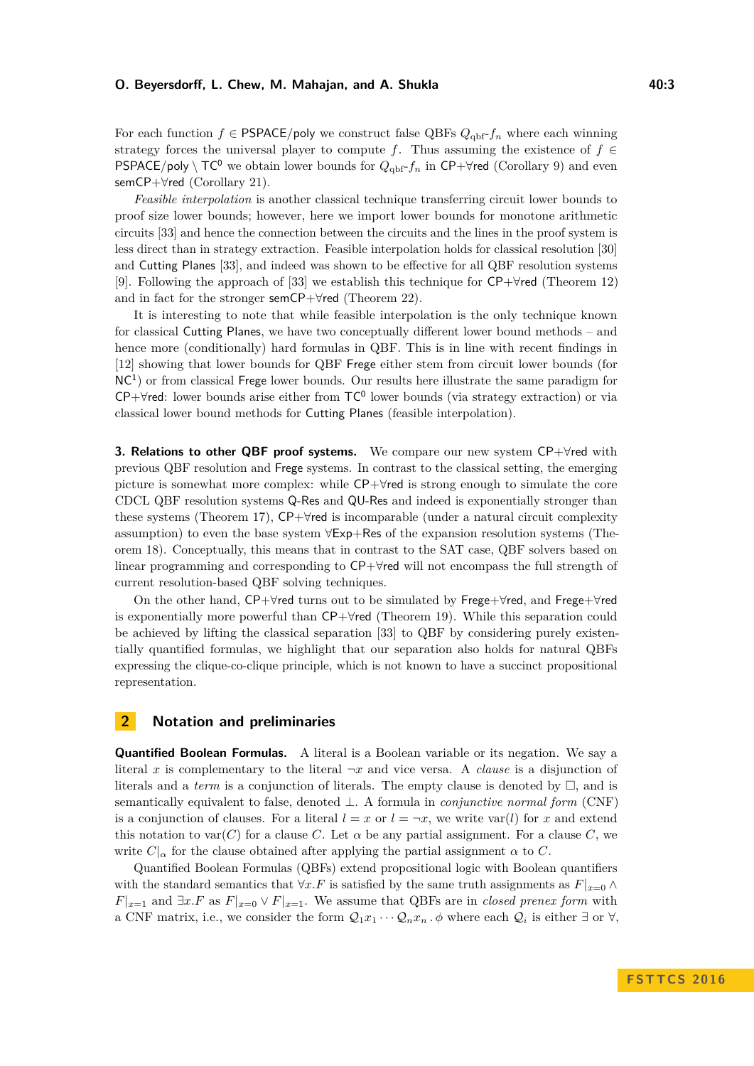#### **O. Beyersdorff, L. Chew, M. Mahajan, and A. Shukla 40:3** 40:3

For each function  $f \in \text{PSPACE}/\text{poly}$  we construct false QBFs  $Q_{\text{qbf}}-f_n$  where each winning strategy forces the universal player to compute *f*. Thus assuming the existence of  $f \in$ **PSPACE**/poly \  $TC^0$  we obtain lower bounds for  $Q_{\text{obj}}-f_n$  in CP+ $\forall$ red (Corollary [9\)](#page-7-2) and even semCP+∀red (Corollary [21\)](#page-12-5).

*Feasible interpolation* is another classical technique transferring circuit lower bounds to proof size lower bounds; however, here we import lower bounds for monotone arithmetic circuits [\[33\]](#page-14-8) and hence the connection between the circuits and the lines in the proof system is less direct than in strategy extraction. Feasible interpolation holds for classical resolution [\[30\]](#page-14-9) and Cutting Planes [\[33\]](#page-14-8), and indeed was shown to be effective for all QBF resolution systems [\[9\]](#page-13-3). Following the approach of [\[33\]](#page-14-8) we establish this technique for CP+∀red (Theorem [12\)](#page-9-0) and in fact for the stronger semCP+∀red (Theorem [22\)](#page-12-6).

It is interesting to note that while feasible interpolation is the only technique known for classical Cutting Planes, we have two conceptually different lower bound methods – and hence more (conditionally) hard formulas in QBF. This is in line with recent findings in [\[12\]](#page-13-7) showing that lower bounds for QBF Frege either stem from circuit lower bounds (for NC<sup>1</sup> ) or from classical Frege lower bounds. Our results here illustrate the same paradigm for  $CP+\forall$ red: lower bounds arise either from  $TC^0$  lower bounds (via strategy extraction) or via classical lower bound methods for Cutting Planes (feasible interpolation).

**3. Relations to other QBF proof systems.** We compare our new system CP+∀red with previous QBF resolution and Frege systems. In contrast to the classical setting, the emerging picture is somewhat more complex: while CP+∀red is strong enough to simulate the core CDCL QBF resolution systems Q-Res and QU-Res and indeed is exponentially stronger than these systems (Theorem [17\)](#page-10-0), CP+∀red is incomparable (under a natural circuit complexity assumption) to even the base system ∀Exp+Res of the expansion resolution systems (Theorem [18\)](#page-10-1). Conceptually, this means that in contrast to the SAT case, QBF solvers based on linear programming and corresponding to CP+∀red will not encompass the full strength of current resolution-based QBF solving techniques.

On the other hand, CP+∀red turns out to be simulated by Frege+∀red, and Frege+∀red is exponentially more powerful than CP+∀red (Theorem [19\)](#page-11-1). While this separation could be achieved by lifting the classical separation [\[33\]](#page-14-8) to QBF by considering purely existentially quantified formulas, we highlight that our separation also holds for natural QBFs expressing the clique-co-clique principle, which is not known to have a succinct propositional representation.

## **2 Notation and preliminaries**

**Quantified Boolean Formulas.** A literal is a Boolean variable or its negation. We say a literal *x* is complementary to the literal  $\neg x$  and vice versa. A *clause* is a disjunction of literals and a *term* is a conjunction of literals. The empty clause is denoted by  $\Box$ , and is semantically equivalent to false, denoted ⊥. A formula in *conjunctive normal form* (CNF) is a conjunction of clauses. For a literal  $l = x$  or  $l = \neg x$ , we write var(*l*) for *x* and extend this notation to var $(C)$  for a clause C. Let  $\alpha$  be any partial assignment. For a clause C, we write  $C|_{\alpha}$  for the clause obtained after applying the partial assignment  $\alpha$  to  $C$ .

Quantified Boolean Formulas (QBFs) extend propositional logic with Boolean quantifiers with the standard semantics that  $\forall x.F$  is satisfied by the same truth assignments as  $F|_{x=0} \wedge$  $F|_{x=1}$  and  $\exists x.F$  as  $F|_{x=0} \vee F|_{x=1}$ . We assume that QBFs are in *closed prenex form* with a CNF matrix, i.e., we consider the form  $Q_1x_1 \cdots Q_nx_n$ .  $\phi$  where each  $Q_i$  is either  $\exists$  or  $\forall$ ,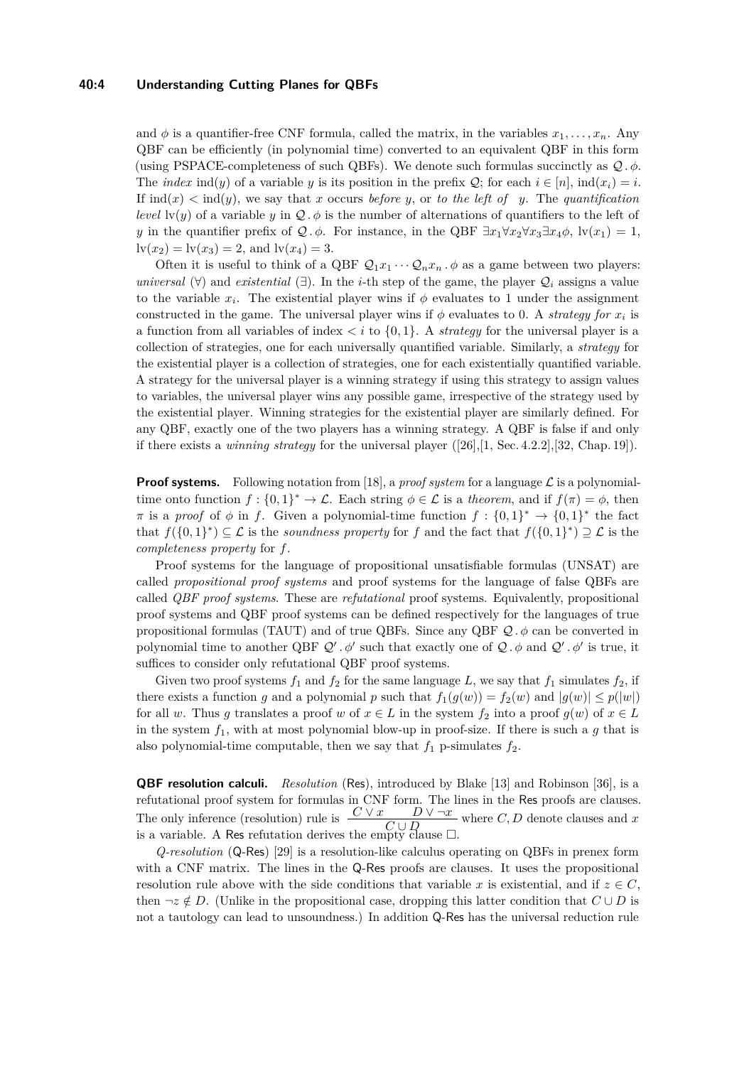## **40:4 Understanding Cutting Planes for QBFs**

and  $\phi$  is a quantifier-free CNF formula, called the matrix, in the variables  $x_1, \ldots, x_n$ . Any QBF can be efficiently (in polynomial time) converted to an equivalent QBF in this form (using PSPACE-completeness of such QBFs). We denote such formulas succinctly as  $Q$ .  $\phi$ . The *index* ind(*y*) of a variable *y* is its position in the prefix  $Q$ ; for each  $i \in [n]$ ,  $ind(x_i) = i$ . If  $\text{ind}(x) < \text{ind}(y)$ , we say that *x* occurs *before y*, or *to the left of y*. The *quantification level*  $\text{lv}(y)$  of a variable *y* in  $\mathcal{Q}$ .  $\phi$  is the number of alternations of quantifiers to the left of *y* in the quantifier prefix of  $\mathcal{Q} \cdot \phi$ . For instance, in the QBF  $\exists x_1 \forall x_2 \forall x_3 \exists x_4 \phi$ ,  $\big| \mathbf{v}(x_1) = 1$ ,  $\text{lv}(x_2) = \text{lv}(x_3) = 2$ , and  $\text{lv}(x_4) = 3$ .

Often it is useful to think of a QBF  $Q_1x_1 \cdots Q_nx_n$ .  $\phi$  as a game between two players: *universal*  $(\forall)$  and *existential*  $(\exists)$ . In the *i*-th step of the game, the player  $\mathcal{Q}_i$  assigns a value to the variable  $x_i$ . The existential player wins if  $\phi$  evaluates to 1 under the assignment constructed in the game. The universal player wins if  $\phi$  evaluates to 0. A *strategy for*  $x_i$  is a function from all variables of index  $\langle i \rangle$  to  $\{0,1\}$ . A *strategy* for the universal player is a collection of strategies, one for each universally quantified variable. Similarly, a *strategy* for the existential player is a collection of strategies, one for each existentially quantified variable. A strategy for the universal player is a winning strategy if using this strategy to assign values to variables, the universal player wins any possible game, irrespective of the strategy used by the existential player. Winning strategies for the existential player are similarly defined. For any QBF, exactly one of the two players has a winning strategy. A QBF is false if and only if there exists a *winning strategy* for the universal player ([\[26\]](#page-13-15),[\[1,](#page-12-7) Sec. 4.2.2],[\[32,](#page-14-10) Chap. 19]).

**Proof systems.** Following notation from [\[18\]](#page-13-16), a *proof system* for a language  $\mathcal{L}$  is a polynomialtime onto function  $f: \{0,1\}^* \to \mathcal{L}$ . Each string  $\phi \in \mathcal{L}$  is a *theorem*, and if  $f(\pi) = \phi$ , then  $\pi$  is a *proof* of  $\phi$  in *f*. Given a polynomial-time function  $f: \{0,1\}^* \to \{0,1\}^*$  the fact that  $f(\{0,1\}^*) \subseteq \mathcal{L}$  is the *soundness property* for *f* and the fact that  $f(\{0,1\}^*) \supseteq \mathcal{L}$  is the *completeness property* for *f*.

Proof systems for the language of propositional unsatisfiable formulas (UNSAT) are called *propositional proof systems* and proof systems for the language of false QBFs are called *QBF proof systems*. These are *refutational* proof systems. Equivalently, propositional proof systems and QBF proof systems can be defined respectively for the languages of true propositional formulas (TAUT) and of true QBFs. Since any QBF  $\mathcal{Q}, \phi$  can be converted in polynomial time to another QBF  $Q'$ .  $\phi'$  such that exactly one of  $Q$ .  $\phi$  and  $Q'$ .  $\phi'$  is true, it suffices to consider only refutational QBF proof systems.

Given two proof systems  $f_1$  and  $f_2$  for the same language L, we say that  $f_1$  simulates  $f_2$ , if there exists a function *g* and a polynomial *p* such that  $f_1(g(w)) = f_2(w)$  and  $|g(w)| \leq p(|w|)$ for all *w*. Thus *g* translates a proof *w* of  $x \in L$  in the system  $f_2$  into a proof  $g(w)$  of  $x \in L$ in the system *f*1, with at most polynomial blow-up in proof-size. If there is such a *g* that is also polynomial-time computable, then we say that  $f_1$  p-simulates  $f_2$ .

**QBF resolution calculi.** *Resolution* (Res), introduced by Blake [\[13\]](#page-13-17) and Robinson [\[36\]](#page-14-11), is a refutational proof system for formulas in CNF form. The lines in the Res proofs are clauses. The only inference (resolution) rule is  $\frac{C \vee x}{C \cup D} \vee \neg x$  where *C*, *D* denote clauses and *x* is a variable. A Res refutation derives the empty clause  $\Box$ .

*Q-resolution* (Q-Res) [\[29\]](#page-14-2) is a resolution-like calculus operating on QBFs in prenex form with a CNF matrix. The lines in the Q-Res proofs are clauses. It uses the propositional resolution rule above with the side conditions that variable x is existential, and if  $z \in C$ , then  $\neg z \notin D$ . (Unlike in the propositional case, dropping this latter condition that  $C \cup D$  is not a tautology can lead to unsoundness.) In addition Q-Res has the universal reduction rule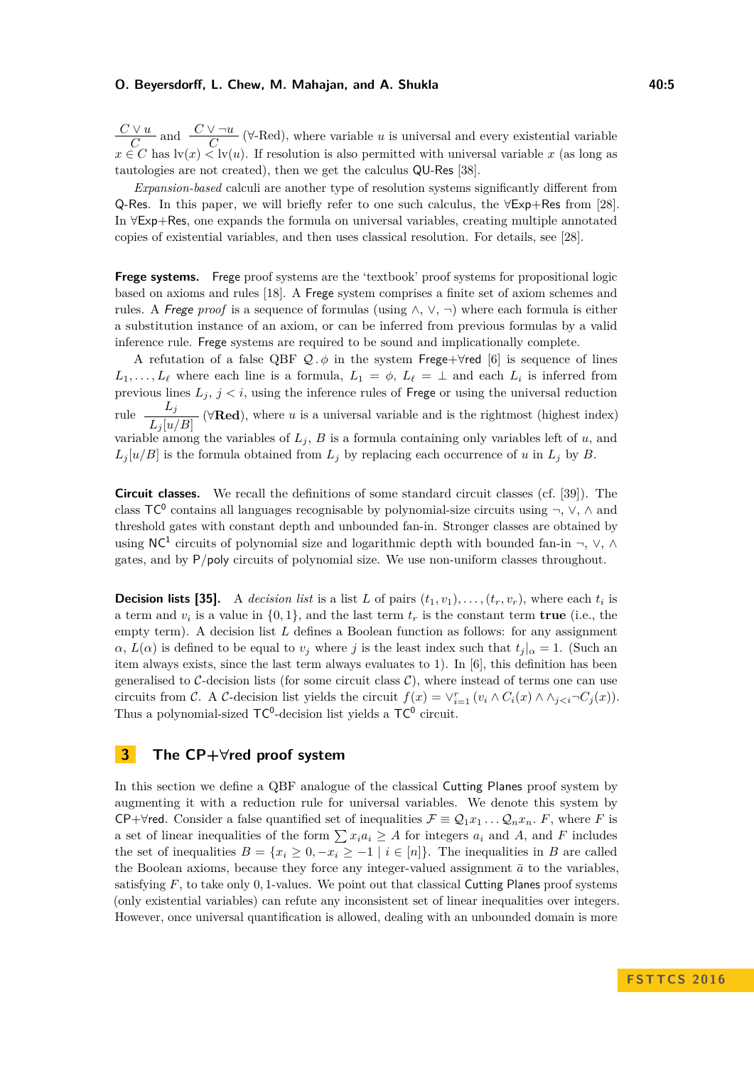## **O. Beyersdorff, L. Chew, M. Mahajan, and A. Shukla 40:5** 40:5

*C* ∨ *u*  $\frac{V u}{C}$  and  $\frac{C V \neg u}{C}$  (∀-Red), where variable *u* is universal and every existential variable  $x \in C$  has  $\text{lv}(x) \leq \text{lv}(u)$ . If resolution is also permitted with universal variable *x* (as long as tautologies are not created), then we get the calculus QU-Res [\[38\]](#page-14-3).

*Expansion-based* calculi are another type of resolution systems significantly different from Q-Res. In this paper, we will briefly refer to one such calculus, the ∀Exp+Res from [\[28\]](#page-14-4). In ∀Exp+Res, one expands the formula on universal variables, creating multiple annotated copies of existential variables, and then uses classical resolution. For details, see [\[28\]](#page-14-4).

**Frege systems.** Frege proof systems are the 'textbook' proof systems for propositional logic based on axioms and rules [\[18\]](#page-13-16). A Frege system comprises a finite set of axiom schemes and rules. A Frege proof is a sequence of formulas (using  $\wedge$ ,  $\vee$ ,  $\neg$ ) where each formula is either a substitution instance of an axiom, or can be inferred from previous formulas by a valid inference rule. Frege systems are required to be sound and implicationally complete.

A refutation of a false QBF  $Q \cdot \phi$  in the system Frege+ $\forall$ red [\[6\]](#page-12-4) is sequence of lines  $L_1, \ldots, L_\ell$  where each line is a formula,  $L_1 = \phi$ ,  $L_\ell = \bot$  and each  $L_i$  is inferred from previous lines  $L_j$ ,  $j < i$ , using the inference rules of Frege or using the universal reduction rule  $\frac{L_j}{L_j[u/B]}$  ( $\forall \text{Red}$ ), where *u* is a universal variable and is the rightmost (highest index) variable among the variables of  $L_j$ ,  $B$  is a formula containing only variables left of  $u$ , and  $L_j[u/B]$  is the formula obtained from  $L_j$  by replacing each occurrence of *u* in  $L_j$  by *B*.

**Circuit classes.** We recall the definitions of some standard circuit classes (cf. [\[39\]](#page-14-12)). The class  $TC^0$  contains all languages recognisable by polynomial-size circuits using  $\neg$ ,  $\vee$ ,  $\wedge$  and threshold gates with constant depth and unbounded fan-in. Stronger classes are obtained by using NC<sup>1</sup> circuits of polynomial size and logarithmic depth with bounded fan-in  $\neg$ ,  $\vee$ ,  $\wedge$ gates, and by P*/*poly circuits of polynomial size. We use non-uniform classes throughout.

**Decision lists [\[35\]](#page-14-13).** A *decision list* is a list *L* of pairs  $(t_1, v_1), \ldots, (t_r, v_r)$ , where each  $t_i$  is a term and  $v_i$  is a value in  $\{0,1\}$ , and the last term  $t_r$  is the constant term **true** (i.e., the empty term). A decision list *L* defines a Boolean function as follows: for any assignment  $\alpha$ ,  $L(\alpha)$  is defined to be equal to *v<sub>j</sub>* where *j* is the least index such that  $t_j | \alpha = 1$ . (Such an item always exists, since the last term always evaluates to 1). In [\[6\]](#page-12-4), this definition has been generalised to C-decision lists (for some circuit class  $\mathcal{C}$ ), where instead of terms one can use circuits from C. A C-decision list yields the circuit  $f(x) = \vee_{i=1}^{r} (v_i \wedge C_i(x) \wedge \wedge_{j.$ Thus a polynomial-sized  $TC^0$ -decision list yields a  $TC^0$  circuit.

## **3 The CP+∀red proof system**

In this section we define a QBF analogue of the classical Cutting Planes proof system by augmenting it with a reduction rule for universal variables. We denote this system by CP+ $\forall$ red. Consider a false quantified set of inequalities  $\mathcal{F} \equiv \mathcal{Q}_1 x_1 \dots \mathcal{Q}_n x_n$ . F, where F is a set of linear inequalities of the form  $\sum x_i a_i \geq A$  for integers  $a_i$  and  $A$ , and  $F$  includes the set of inequalities  $B = \{x_i \geq 0, -x_i \geq -1 \mid i \in [n]\}.$  The inequalities in *B* are called the Boolean axioms, because they force any integer-valued assignment  $\bar{a}$  to the variables, satisfying *F*, to take only 0*,* 1-values. We point out that classical Cutting Planes proof systems (only existential variables) can refute any inconsistent set of linear inequalities over integers. However, once universal quantification is allowed, dealing with an unbounded domain is more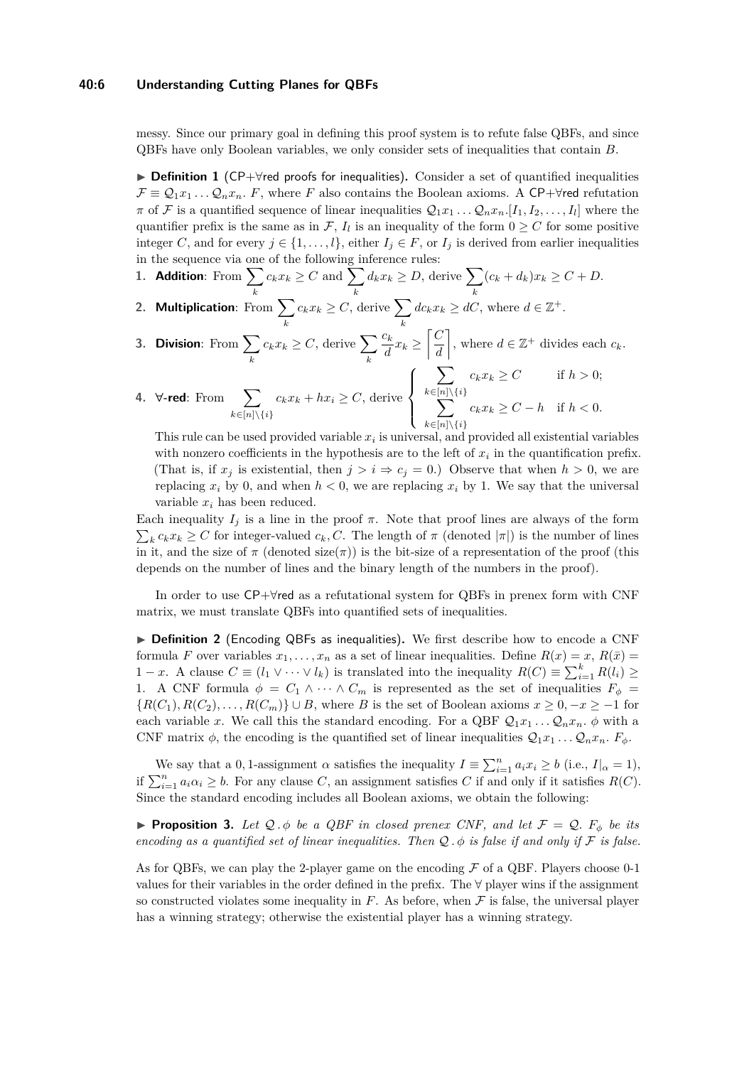#### **40:6 Understanding Cutting Planes for QBFs**

messy. Since our primary goal in defining this proof system is to refute false QBFs, and since QBFs have only Boolean variables, we only consider sets of inequalities that contain *B*.

<span id="page-5-0"></span>**► Definition 1** (CP+ $\forall$ red proofs for inequalities). Consider a set of quantified inequalities  $\mathcal{F} \equiv \mathcal{Q}_1 x_1 \dots \mathcal{Q}_n x_n$ . F, where F also contains the Boolean axioms. A CP+ $\forall$ red refutation  $\pi$  of  $\mathcal{F}$  is a quantified sequence of linear inequalities  $\mathcal{Q}_1x_1 \ldots \mathcal{Q}_n x_n$ .  $[I_1, I_2, \ldots, I_l]$  where the quantifier prefix is the same as in  $\mathcal{F}, I_l$  is an inequality of the form  $0 \geq C$  for some positive integer *C*, and for every  $j \in \{1, ..., l\}$ , either  $I_j \in F$ , or  $I_j$  is derived from earlier inequalities in the sequence via one of the following inference rules:

- 1. **Addition**: From  $\sum$ *k*  $c_k x_k \geq C$  and  $\sum$ *k*  $d_k x_k \geq D$ , derive  $\sum$ *k*  $(c_k + d_k)x_k \geq C + D.$
- **2. Multiplication**: From  $\sum c_k x_k \geq C$ , derive  $\sum dc_k x_k \geq dC$ , where  $d \in \mathbb{Z}^+$ . *k k*
- **3. Division:** From  $\sum$ *k*  $c_k x_k \geq C$ , derive  $\sum$ *k ck*  $\frac{c_k}{d}x_k \geq \left\lceil \frac{C}{d} \right\rceil$ *d* , where  $d \in \mathbb{Z}^+$  divides each  $c_k$ .

$$
\text{4. } \forall \text{-red: } \text{From } \sum_{k \in [n] \setminus \{i\}} c_k x_k + hx_i \ge C, \text{ derive } \left\{ \sum_{k \in [n] \setminus \{i\}}^{k \in [n] \setminus \{i\}} c_k x_k \ge C \right\} \text{ if } h > 0;
$$

This rule can be used provided variable  $x_i$  is universal, and provided all existential variables with nonzero coefficients in the hypothesis are to the left of  $x_i$  in the quantification prefix. (That is, if  $x_j$  is existential, then  $j > i \Rightarrow c_j = 0$ .) Observe that when  $h > 0$ , we are replacing  $x_i$  by 0, and when  $h < 0$ , we are replacing  $x_i$  by 1. We say that the universal variable *x<sup>i</sup>* has been reduced.

Each inequality  $I_i$  is a line in the proof  $\pi$ . Note that proof lines are always of the form  $\sum_{k} c_k x_k \geq C$  for integer-valued  $c_k, C$ . The length of  $\pi$  (denoted  $|\pi|$ ) is the number of lines in it, and the size of  $\pi$  (denoted size( $\pi$ )) is the bit-size of a representation of the proof (this depends on the number of lines and the binary length of the numbers in the proof).

In order to use CP+∀red as a refutational system for QBFs in prenex form with CNF matrix, we must translate QBFs into quantified sets of inequalities.

▶ **Definition 2** (Encoding QBFs as inequalities). We first describe how to encode a CNF formula *F* over variables  $x_1, \ldots, x_n$  as a set of linear inequalities. Define  $R(x) = x$ ,  $R(\bar{x}) = x_1$ 1 − *x*. A clause  $C \equiv (l_1 \vee \cdots \vee l_k)$  is translated into the inequality  $R(C) \equiv \sum_{i=1}^k R(l_i) \ge$ 1. A CNF formula  $\phi = C_1 \wedge \cdots \wedge C_m$  is represented as the set of inequalities  $F_{\phi} =$  ${R(C_1), R(C_2), \ldots, R(C_m)}$  ∪ *B*, where *B* is the set of Boolean axioms  $x ≥ 0, -x ≥ -1$  for each variable *x*. We call this the standard encoding. For a QBF  $Q_1x_1 \ldots Q_nx_n$ .  $\phi$  with a CNF matrix  $\phi$ , the encoding is the quantified set of linear inequalities  $Q_1x_1 \ldots Q_nx_n$ .  $F_{\phi}$ .

We say that a 0, 1-assignment  $\alpha$  satisfies the inequality  $I \equiv \sum_{i=1}^{n} a_i x_i \ge b$  (i.e.,  $I|_{\alpha} = 1$ ), if  $\sum_{i=1}^{n} a_i \alpha_i \geq b$ . For any clause *C*, an assignment satisfies *C* if and only if it satisfies *R*(*C*). Since the standard encoding includes all Boolean axioms, we obtain the following:

<span id="page-5-1"></span>**Proposition 3.** Let  $Q \cdot \phi$  be a QBF in closed prenex CNF, and let  $\mathcal{F} = Q$ .  $F_{\phi}$  be its *encoding as a quantified set of linear inequalities. Then*  $Q$ ,  $\phi$  *is false if and only if*  $\mathcal F$  *is false.* 

As for QBFs, we can play the 2-player game on the encoding  $\mathcal F$  of a QBF. Players choose 0-1 values for their variables in the order defined in the prefix. The ∀ player wins if the assignment so constructed violates some inequality in  $F$ . As before, when  $F$  is false, the universal player has a winning strategy; otherwise the existential player has a winning strategy.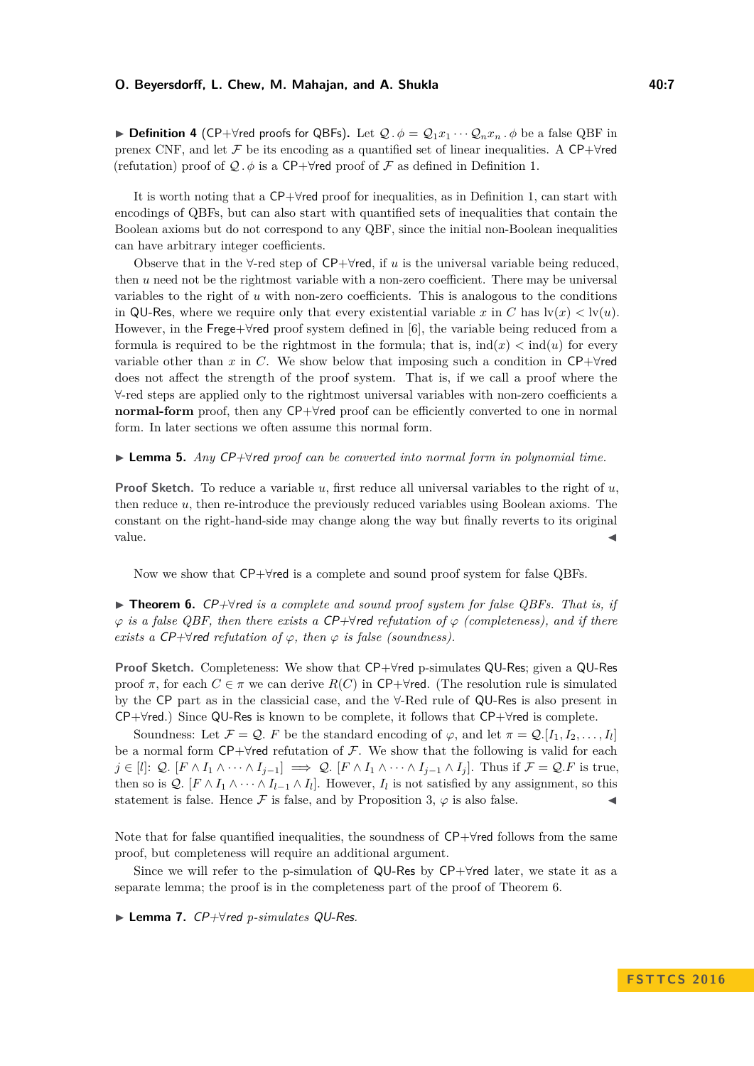## **O. Beyersdorff, L. Chew, M. Mahajan, and A. Shukla 40:7 1998 10:7 10:7 10:7**

**► Definition 4** (CP+ $\forall$ red proofs for QBFs). Let  $Q \cdot \phi = Q_1 x_1 \cdots Q_n x_n \cdot \phi$  be a false QBF in prenex CNF, and let F be its encoding as a quantified set of linear inequalities. A CP+ $\forall$ red (refutation) proof of  $\mathcal Q$ .  $\phi$  is a CP+ $\forall$ red proof of  $\mathcal F$  as defined in Definition [1.](#page-5-0)

It is worth noting that a CP+∀red proof for inequalities, as in Definition [1,](#page-5-0) can start with encodings of QBFs, but can also start with quantified sets of inequalities that contain the Boolean axioms but do not correspond to any QBF, since the initial non-Boolean inequalities can have arbitrary integer coefficients.

Observe that in the ∀-red step of CP+∀red, if *u* is the universal variable being reduced, then *u* need not be the rightmost variable with a non-zero coefficient. There may be universal variables to the right of *u* with non-zero coefficients. This is analogous to the conditions in QU-Res, where we require only that every existential variable x in C has  $\text{lv}(x) < \text{lv}(u)$ . However, in the Frege+∀red proof system defined in [\[6\]](#page-12-4), the variable being reduced from a formula is required to be the rightmost in the formula; that is,  $\text{ind}(x) < \text{ind}(u)$  for every variable other than *x* in *C*. We show below that imposing such a condition in  $\mathsf{CP}+\mathsf{Yred}$ does not affect the strength of the proof system. That is, if we call a proof where the ∀-red steps are applied only to the rightmost universal variables with non-zero coefficients a **normal-form** proof, then any CP+∀red proof can be efficiently converted to one in normal form. In later sections we often assume this normal form.

<span id="page-6-2"></span>I **Lemma 5.** *Any* CP+∀red *proof can be converted into normal form in polynomial time.*

**Proof Sketch.** To reduce a variable *u*, first reduce all universal variables to the right of *u*, then reduce *u*, then re-introduce the previously reduced variables using Boolean axioms. The constant on the right-hand-side may change along the way but finally reverts to its original  $value.$ 

Now we show that CP+∀red is a complete and sound proof system for false QBFs.

<span id="page-6-0"></span>I **Theorem 6.** CP+∀red *is a complete and sound proof system for false QBFs. That is, if*  $\varphi$  *is a false QBF, then there exists a CP+* $\forall$ *red refutation of*  $\varphi$  *(completeness), and if there exists a CP+* $\forall$ *red refutation of*  $\varphi$ *, then*  $\varphi$  *is false (soundness).* 

**Proof Sketch.** Completeness: We show that CP+∀red p-simulates QU-Res; given a QU-Res proof  $\pi$ , for each  $C \in \pi$  we can derive  $R(C)$  in CP+ $\forall$ red. (The resolution rule is simulated by the CP part as in the classicial case, and the ∀-Red rule of QU-Res is also present in CP+∀red.) Since QU-Res is known to be complete, it follows that CP+∀red is complete.

Soundness: Let  $\mathcal{F} = \mathcal{Q}$ . F be the standard encoding of  $\varphi$ , and let  $\pi = \mathcal{Q}$ . [I<sub>1</sub>, I<sub>2</sub>, ..., I<sub>I</sub>] be a normal form  $\mathsf{CP}+\forall$ red refutation of F. We show that the following is valid for each  $j \in [l]: Q$ .  $[F \wedge I_1 \wedge \cdots \wedge I_{j-1}] \implies Q$ .  $[F \wedge I_1 \wedge \cdots \wedge I_{j-1} \wedge I_j]$ . Thus if  $\mathcal{F} = \mathcal{Q}.F$  is true, then so is  $Q$ .  $[F \wedge I_1 \wedge \cdots \wedge I_{l-1} \wedge I_l]$ . However,  $I_l$  is not satisfied by any assignment, so this statement is false. Hence  $\mathcal F$  is false, and by Proposition [3,](#page-5-1)  $\varphi$  is also false.

Note that for false quantified inequalities, the soundness of CP+∀red follows from the same proof, but completeness will require an additional argument.

Since we will refer to the p-simulation of QU-Res by  $\mathsf{CP}+\mathsf{Yred}$  later, we state it as a separate lemma; the proof is in the completeness part of the proof of Theorem [6.](#page-6-0)

<span id="page-6-1"></span>I **Lemma 7.** CP+∀red *p-simulates* QU-Res*.*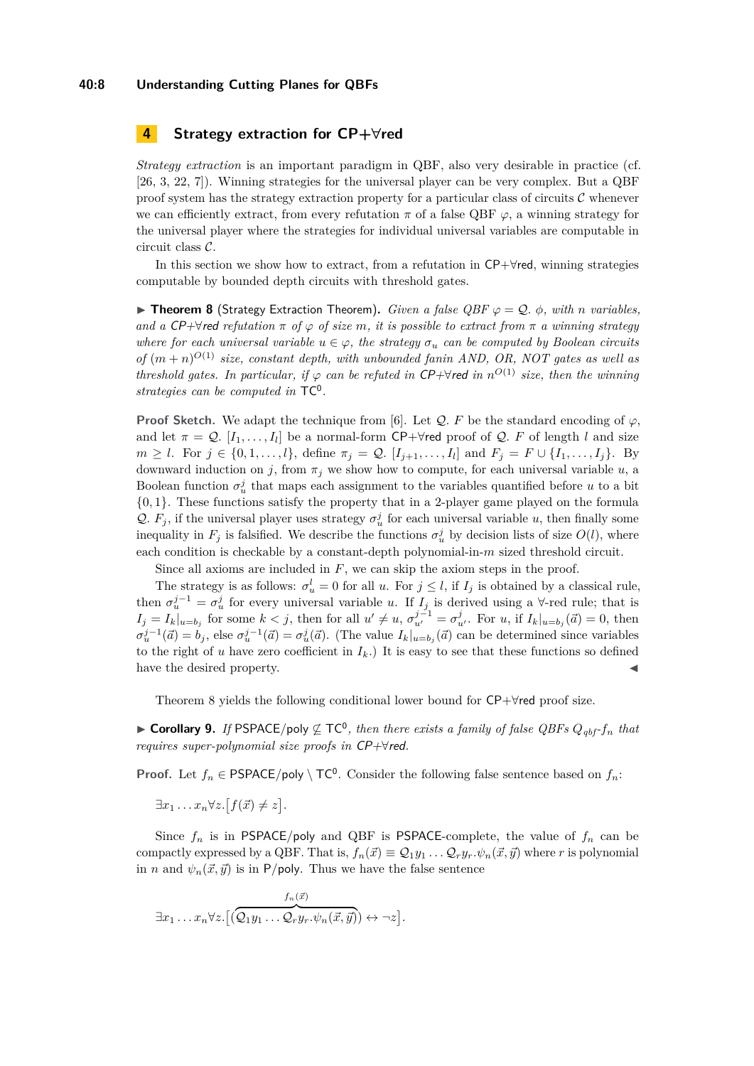#### **40:8 Understanding Cutting Planes for QBFs**

## <span id="page-7-0"></span>**4 Strategy extraction for CP+∀red**

*Strategy extraction* is an important paradigm in QBF, also very desirable in practice (cf. [\[26,](#page-13-15) [3,](#page-12-2) [22,](#page-13-18) [7\]](#page-13-1)). Winning strategies for the universal player can be very complex. But a QBF proof system has the strategy extraction property for a particular class of circuits  $\mathcal C$  whenever we can efficiently extract, from every refutation  $\pi$  of a false QBF  $\varphi$ , a winning strategy for the universal player where the strategies for individual universal variables are computable in circuit class C.

In this section we show how to extract, from a refutation in CP+∀red, winning strategies computable by bounded depth circuits with threshold gates.

<span id="page-7-1"></span>**► Theorem 8** (Strategy Extraction Theorem). *Given a false QBF*  $\varphi = Q$ .  $\phi$ *, with n variables, and a*  $\mathsf{CP}+\forall$  *red refutation*  $\pi$  *of*  $\varphi$  *of size*  $m$ *, it is possible to extract from*  $\pi$  *a winning strategy where for each universal variable*  $u \in \varphi$ , the strategy  $\sigma_u$  can be computed by Boolean circuits *of*  $(m+n)^{O(1)}$  *size, constant depth, with unbounded fanin AND, OR, NOT gates as well as threshold gates. In particular, if*  $\varphi$  *can be refuted in* CP+ $\forall$ red *in*  $n^{O(1)}$  *size, then the winning strategies can be computed in* TC<sup>0</sup> *.*

**Proof Sketch.** We adapt the technique from [\[6\]](#page-12-4). Let  $Q$ . F be the standard encoding of  $\varphi$ , and let  $\pi = \mathcal{Q}$ .  $[I_1, \ldots, I_l]$  be a normal-form CP+ $\forall$ red proof of  $\mathcal{Q}$ . F of length *l* and size  $m \geq l$ . For  $j \in \{0, 1, ..., l\}$ , define  $\pi_j = \mathcal{Q}$ .  $[I_{j+1}, ..., I_l]$  and  $F_j = F \cup \{I_1, ..., I_j\}$ . By downward induction on *j*, from  $\pi_j$  we show how to compute, for each universal variable *u*, a Boolean function  $\sigma_u^j$  that maps each assignment to the variables quantified before *u* to a bit {0*,* 1}. These functions satisfy the property that in a 2-player game played on the formula Q.  $F_j$ , if the universal player uses strategy  $\sigma_u^j$  for each universal variable *u*, then finally some inequality in  $F_j$  is falsified. We describe the functions  $\sigma^j_u$  by decision lists of size  $O(l)$ , where each condition is checkable by a constant-depth polynomial-in-*m* sized threshold circuit.

Since all axioms are included in *F*, we can skip the axiom steps in the proof.

The strategy is as follows:  $\sigma_u^l = 0$  for all *u*. For  $j \leq l$ , if  $I_j$  is obtained by a classical rule, then  $\sigma_u^{j-1} = \sigma_u^j$  for every universal variable *u*. If  $I_j$  is derived using a  $\forall$ -red rule; that is  $I_j = I_k|_{u=b_j}$  for some  $k < j$ , then for all  $u' \neq u$ ,  $\sigma_{u'}^{j-1} = \sigma_{u'}^j$ . For u, if  $I_k|_{u=b_j}(\vec{a}) = 0$ , then  $\sigma_u^{j-1}(\vec{a}) = b_j$ , else  $\sigma_u^{j-1}(\vec{a}) = \sigma_u^j(\vec{a})$ . (The value  $I_k|_{u=b_j}(\vec{a})$  can be determined since variables to the right of *u* have zero coefficient in  $I_k$ .) It is easy to see that these functions so defined have the desired property.

Theorem [8](#page-7-1) yields the following conditional lower bound for CP+∀red proof size.

<span id="page-7-2"></span>► **Corollary 9.** If PSPACE/poly  $\nsubseteq$  TC<sup>0</sup>, then there exists a family of false QBFs  $Q_{qbf}$ -f<sub>n</sub> that *requires super-polynomial size proofs in* CP+∀red*.*

**Proof.** Let  $f_n \in \text{PSPACE}/\text{poly} \setminus \text{TC}^0$ . Consider the following false sentence based on  $f_n$ :

$$
\exists x_1 \ldots x_n \forall z. [f(\vec{x}) \neq z].
$$

Since  $f_n$  is in PSPACE/poly and QBF is PSPACE-complete, the value of  $f_n$  can be compactly expressed by a QBF. That is,  $f_n(\vec{x}) \equiv Q_1y_1 \ldots Q_ry_r \cdot \psi_n(\vec{x}, \vec{y})$  where *r* is polynomial in *n* and  $\psi_n(\vec{x}, \vec{y})$  is in P/poly. Thus we have the false sentence

$$
\exists x_1 \ldots x_n \forall z. \big[ \overbrace{(\mathcal{Q}_1 y_1 \ldots \mathcal{Q}_r y_r. \psi_n(\vec{x}, \vec{y}))}^{f_n(\vec{x})} \leftrightarrow \neg z \big].
$$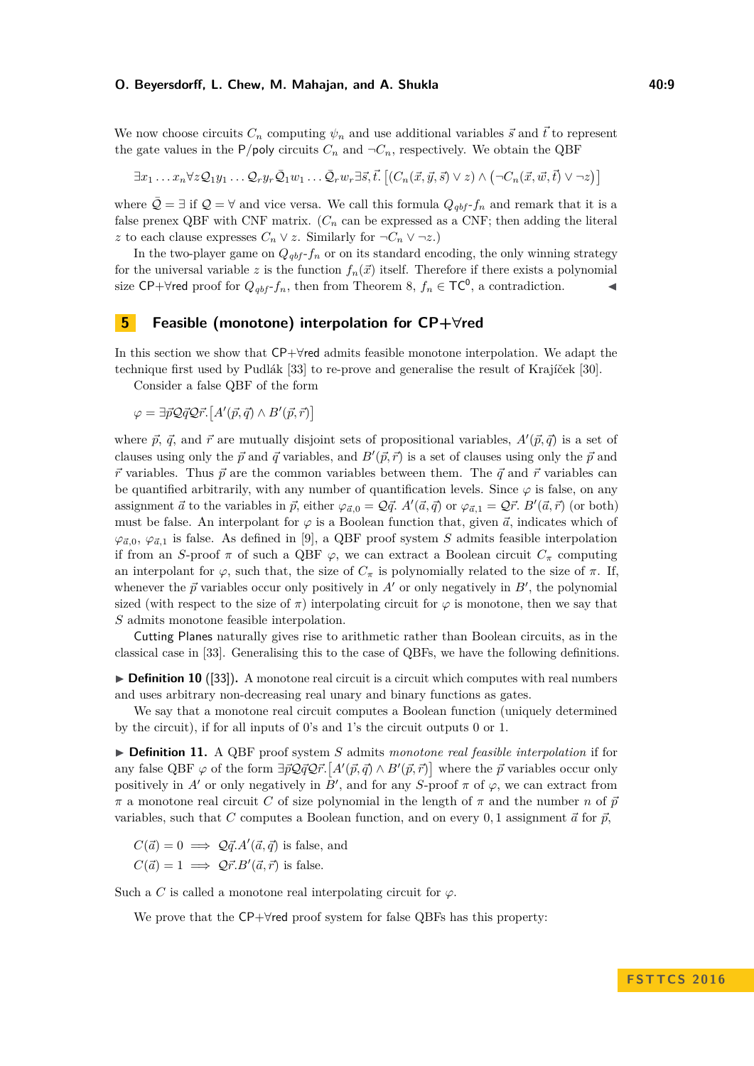#### **O. Beyersdorff, L. Chew, M. Mahajan, and A. Shukla 40:9** 40:9

We now choose circuits  $C_n$  computing  $\psi_n$  and use additional variables  $\vec{s}$  and  $\vec{t}$  to represent the gate values in the P/poly circuits  $C_n$  and  $\neg C_n$ , respectively. We obtain the QBF

$$
\exists x_1 \ldots x_n \forall z \mathcal{Q}_1 y_1 \ldots \mathcal{Q}_r y_r \bar{\mathcal{Q}}_1 w_1 \ldots \bar{\mathcal{Q}}_r w_r \exists \vec{s}, \vec{t}. \left[ (C_n(\vec{x}, \vec{y}, \vec{s}) \lor z) \land (\neg C_n(\vec{x}, \vec{w}, \vec{t}) \lor \neg z) \right]
$$

where  $\bar{Q} = \exists$  if  $Q = \forall$  and vice versa. We call this formula  $Q_{abf}$ - $f_n$  and remark that it is a false prenex QBF with CNF matrix.  $(C_n$  can be expressed as a CNF; then adding the literal *z* to each clause expresses  $C_n ∨ z$ . Similarly for ¬ $C_n ∨ ¬z$ .)

In the two-player game on  $Q_{qbf}$ - $f_n$  or on its standard encoding, the only winning strategy for the universal variable *z* is the function  $f_n(\vec{x})$  itself. Therefore if there exists a polynomial size CP+ $\forall$ red proof for  $Q_{qbf}$ -*f<sub>n</sub>*, then from Theorem [8,](#page-7-1)  $f_n \in \mathsf{TC}^0$ , a contradiction.

## <span id="page-8-0"></span>**5 Feasible (monotone) interpolation for CP+∀red**

In this section we show that CP+∀red admits feasible monotone interpolation. We adapt the technique first used by Pudlák [\[33\]](#page-14-8) to re-prove and generalise the result of Krajíček [\[30\]](#page-14-9).

Consider a false QBF of the form

 $\varphi = \exists \vec{p} \mathcal{Q} \vec{q} \mathcal{Q} \vec{r}$ .  $[A'(\vec{p}, \vec{q}) \wedge B'(\vec{p}, \vec{r})]$ 

where  $\vec{p}, \vec{q}$ , and  $\vec{r}$  are mutually disjoint sets of propositional variables,  $A'(\vec{p}, \vec{q})$  is a set of clauses using only the  $\vec{p}$  and  $\vec{q}$  variables, and  $B'(\vec{p}, \vec{r})$  is a set of clauses using only the  $\vec{p}$  and  $\vec{r}$  variables. Thus  $\vec{p}$  are the common variables between them. The  $\vec{q}$  and  $\vec{r}$  variables can be quantified arbitrarily, with any number of quantification levels. Since  $\varphi$  is false, on any assignment  $\vec{a}$  to the variables in  $\vec{p}$ , either  $\varphi_{\vec{a},0} = \mathcal{Q}\vec{q}$ .  $A'(\vec{a},\vec{q})$  or  $\varphi_{\vec{a},1} = \mathcal{Q}\vec{r}$ .  $B'(\vec{a},\vec{r})$  (or both) must be false. An interpolant for  $\varphi$  is a Boolean function that, given  $\vec{a}$ , indicates which of  $\varphi_{\vec{a},0}, \varphi_{\vec{a},1}$  is false. As defined in [\[9\]](#page-13-3), a QBF proof system *S* admits feasible interpolation if from an *S*-proof  $\pi$  of such a QBF  $\varphi$ , we can extract a Boolean circuit  $C_{\pi}$  computing an interpolant for  $\varphi$ , such that, the size of  $C_{\pi}$  is polynomially related to the size of  $\pi$ . If, whenever the  $\vec{p}$  variables occur only positively in  $A'$  or only negatively in  $B'$ , the polynomial sized (with respect to the size of  $\pi$ ) interpolating circuit for  $\varphi$  is monotone, then we say that *S* admits monotone feasible interpolation.

Cutting Planes naturally gives rise to arithmetic rather than Boolean circuits, as in the classical case in [\[33\]](#page-14-8). Generalising this to the case of QBFs, we have the following definitions.

 $\triangleright$  **Definition 10** ([\[33\]](#page-14-8)). A monotone real circuit is a circuit which computes with real numbers and uses arbitrary non-decreasing real unary and binary functions as gates.

We say that a monotone real circuit computes a Boolean function (uniquely determined by the circuit), if for all inputs of 0's and 1's the circuit outputs 0 or 1.

▶ **Definition 11.** A QBF proof system *S* admits *monotone real feasible interpolation* if for any false QBF  $\varphi$  of the form  $\exists \vec{p} \mathcal{Q} \vec{q} \mathcal{Q} \vec{r}$ .  $[A'(\vec{p}, \vec{q}) \wedge B'(\vec{p}, \vec{r})]$  where the  $\vec{p}$  variables occur only positively in *A'* or only negatively in *B'*, and for any *S*-proof  $\pi$  of  $\varphi$ , we can extract from  $\pi$  a monotone real circuit *C* of size polynomial in the length of  $\pi$  and the number *n* of  $\bar{p}$ variables, such that *C* computes a Boolean function, and on every 0, 1 assignment  $\vec{a}$  for  $\vec{p}$ ,

 $C(\vec{a}) = 0 \implies Q\vec{q}.A'(\vec{a}, \vec{q})$  is false, and  $C(\vec{a}) = 1 \implies \mathcal{Q} \vec{r} \cdot B'(\vec{a}, \vec{r})$  is false.

Such a *C* is called a monotone real interpolating circuit for  $\varphi$ .

We prove that the CP+∀red proof system for false QBFs has this property: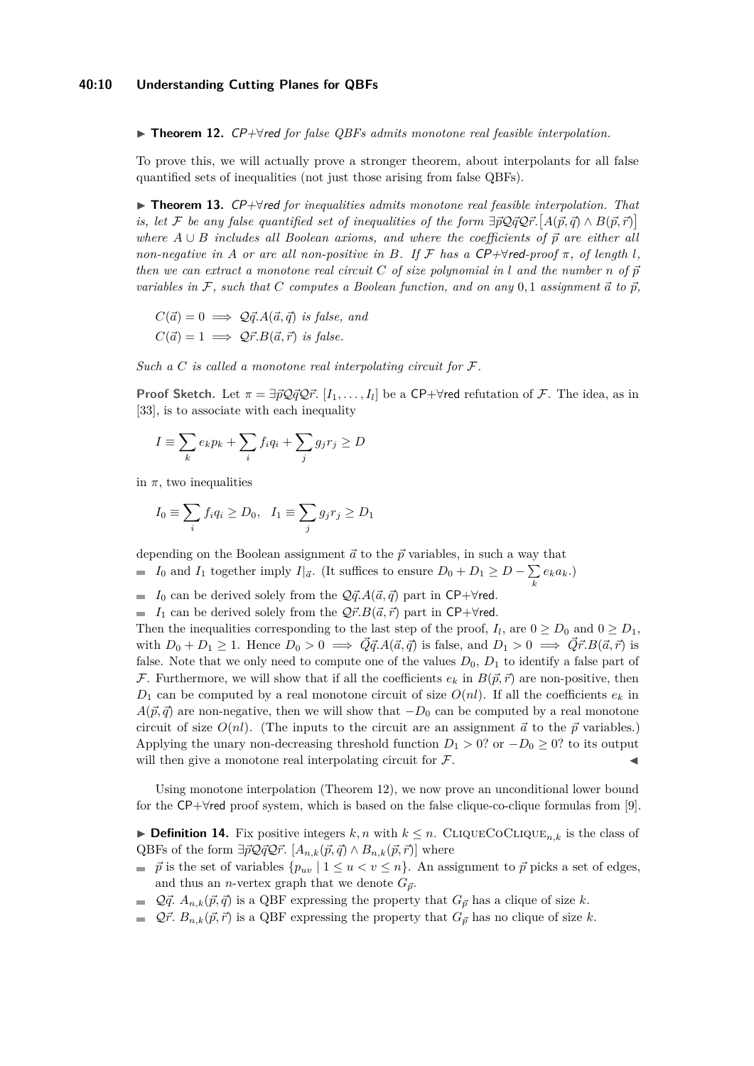<span id="page-9-0"></span>I **Theorem 12.** CP+∀red *for false QBFs admits monotone real feasible interpolation.*

To prove this, we will actually prove a stronger theorem, about interpolants for all false quantified sets of inequalities (not just those arising from false QBFs).

<span id="page-9-2"></span>I **Theorem 13.** CP+∀red *for inequalities admits monotone real feasible interpolation. That is, let* F *be any false quantified set of inequalities of the form*  $\exists \vec{p} \mathcal{Q} \vec{q} \mathcal{Q} \vec{r}$ .  $[A(\vec{p}, \vec{q}) \wedge B(\vec{p}, \vec{r})]$ *where*  $A \cup B$  *includes all Boolean axioms, and where the coefficients of*  $\vec{p}$  *are either all non-negative in A or are all non-positive in B.* If  $\mathcal F$  *has a*  $\mathsf{CP}+\forall$ red-proof  $\pi$ *, of length l*, *then we can extract a monotone real circuit*  $C$  *of size polynomial in l and the number*  $n$  *of*  $\vec{p}$ *variables in*  $\mathcal{F}$ *, such that*  $C$  *computes a Boolean function, and on any* 0*,* 1 *assignment*  $\vec{a}$  *to*  $\vec{p}$ *,* 

$$
C(\vec{a}) = 0 \implies Q\vec{q}.A(\vec{a}, \vec{q}) \text{ is false, and}
$$
  

$$
C(\vec{a}) = 1 \implies Q\vec{r}.B(\vec{a}, \vec{r}) \text{ is false.}
$$

*Such a C is called a monotone real interpolating circuit for* F*.*

**Proof Sketch.** Let  $\pi = \exists \vec{p} \mathcal{Q} \vec{q} \mathcal{Q} \vec{r}$ .  $[I_1, \ldots, I_l]$  be a CP+ $\forall$ red refutation of F. The idea, as in [\[33\]](#page-14-8), is to associate with each inequality

$$
I \equiv \sum_{k} e_k p_k + \sum_{i} f_i q_i + \sum_{j} g_j r_j \ge D
$$

in  $\pi$ , two inequalities

$$
I_0 \equiv \sum_i f_i q_i \ge D_0, \quad I_1 \equiv \sum_j g_j r_j \ge D_1
$$

depending on the Boolean assignment  $\vec{a}$  to the  $\vec{p}$  variables, in such a way that

- *I*<sub>0</sub> and *I*<sub>1</sub> together imply *I*| $_{\vec{a}}$ . (It suffices to ensure  $D_0 + D_1 \geq D \sum$  $\sum_{k} e_k a_k.$
- *I*<sub>0</sub> can be derived solely from the  $\mathcal{Q}\vec{q} \cdot A(\vec{a}, \vec{q})$  part in CP+ $\forall$ red.
- *I*<sub>1</sub> can be derived solely from the  $Q\vec{r} \cdot B(\vec{a}, \vec{r})$  part in CP+ $\forall$ red.

Then the inequalities corresponding to the last step of the proof,  $I_l$ , are  $0 \ge D_0$  and  $0 \ge D_1$ , with  $D_0 + D_1 \geq 1$ . Hence  $D_0 > 0 \implies \overrightarrow{Q} \overrightarrow{q}$ ,  $A(\overrightarrow{a}, \overrightarrow{q})$  is false, and  $D_1 > 0 \implies \overrightarrow{Q} \overrightarrow{r}$ ,  $B(\overrightarrow{a}, \overrightarrow{r})$  is false. Note that we only need to compute one of the values  $D_0$ ,  $D_1$  to identify a false part of F. Furthermore, we will show that if all the coefficients  $e_k$  in  $B(\vec{p}, \vec{r})$  are non-positive, then  $D_1$  can be computed by a real monotone circuit of size  $O(nl)$ . If all the coefficients  $e_k$  in  $A(\vec{p}, \vec{q})$  are non-negative, then we will show that  $-D_0$  can be computed by a real monotone circuit of size  $O(nl)$ . (The inputs to the circuit are an assignment  $\vec{a}$  to the  $\vec{p}$  variables.) Applying the unary non-decreasing threshold function  $D_1 > 0$ ? or  $-D_0 \geq 0$ ? to its output will then give a monotone real interpolating circuit for  $\mathcal{F}$ .

Using monotone interpolation (Theorem [12\)](#page-9-0), we now prove an unconditional lower bound for the CP+∀red proof system, which is based on the false clique-co-clique formulas from [\[9\]](#page-13-3).

<span id="page-9-1"></span>► **Definition 14.** Fix positive integers  $k, n$  with  $k \leq n$ . CLIQUECOCLIQUE<sub>n,k</sub> is the class of QBFs of the form  $\exists \vec{p} \mathcal{Q} \vec{q} \mathcal{Q} \vec{r}$ .  $[A_{n,k}(\vec{p}, \vec{q}) \wedge B_{n,k}(\vec{p}, \vec{r})]$  where

- $\vec{p}$  is the set of variables  $\{p_{uv} \mid 1 \le u < v \le n\}$ . An assignment to  $\vec{p}$  picks a set of edges, and thus an *n*-vertex graph that we denote  $G_{\vec{p}}$ .
- $\mathcal{Q}\vec{q}$ .  $A_{n,k}(\vec{p},\vec{q})$  is a QBF expressing the property that  $G_{\vec{p}}$  has a clique of size *k*.
- $\mathcal{Q}\vec{r}$ .  $B_{n,k}(\vec{p}, \vec{r})$  is a QBF expressing the property that  $G_{\vec{p}}$  has no clique of size *k*.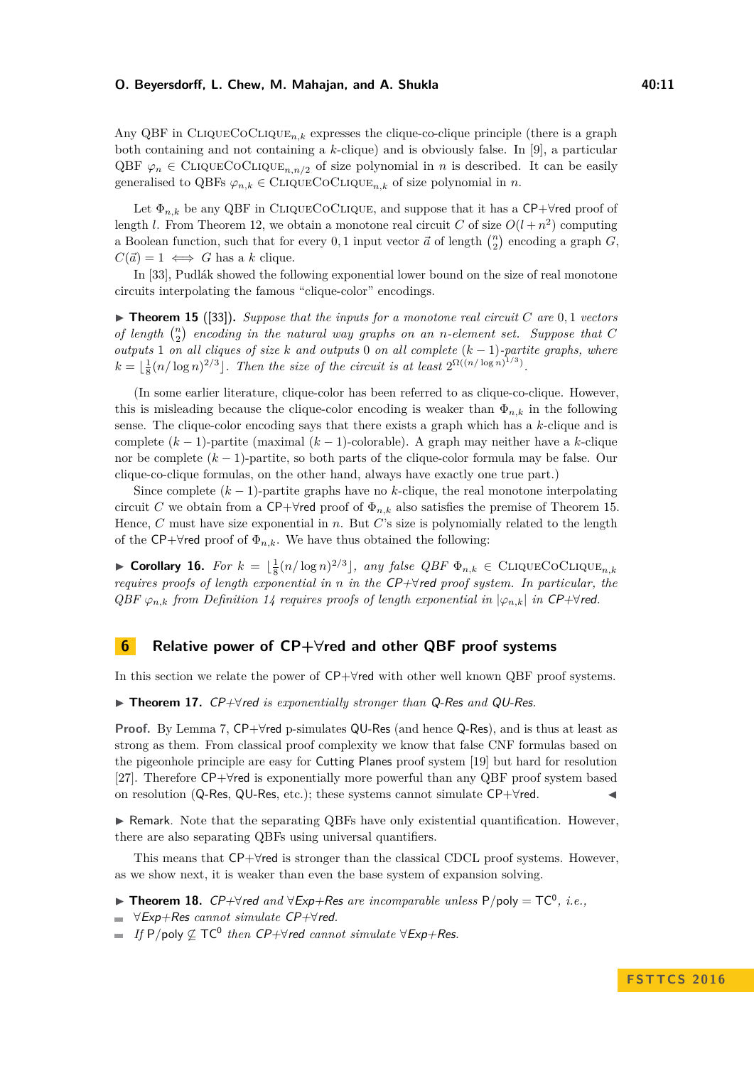## **O. Beyersdorff, L. Chew, M. Mahajan, and A. Shukla 40:11** 40:11

Any QBF in CLIQUECOCLIQUE<sub>nk</sub> expresses the clique-co-clique principle (there is a graph both containing and not containing a *k*-clique) and is obviously false. In [\[9\]](#page-13-3), a particular QBF  $\varphi_n \in \text{CluQUECoCluQUE}_{n,n/2}$  of size polynomial in *n* is described. It can be easily generalised to QBFs  $\varphi_{n,k} \in \text{CLIQUECOCLIQUE}_{n,k}$  of size polynomial in *n*.

Let  $\Phi_{n,k}$  be any QBF in CLIQUECOCLIQUE, and suppose that it has a CP+ $\forall$ red proof of length *l*. From Theorem [12,](#page-9-0) we obtain a monotone real circuit *C* of size  $O(l + n^2)$  computing a Boolean function, such that for every 0,1 input vector  $\vec{a}$  of length  $\binom{n}{2}$  encoding a graph  $G$ ,  $C(\vec{a}) = 1 \iff G$  has a *k* clique.

In [\[33\]](#page-14-8), Pudlák showed the following exponential lower bound on the size of real monotone circuits interpolating the famous "clique-color" encodings.

<span id="page-10-2"></span> $\triangleright$  **Theorem 15** ([\[33\]](#page-14-8)). *Suppose that the inputs for a monotone real circuit C* are 0,1 *vectors of length*  $\binom{n}{2}$  *encoding in the natural way graphs on an <i>n*-element set. Suppose that C *outputs* 1 *on all cliques of size k and outputs* 0 *on all complete* (*k* − 1)*-partite graphs, where*  $k = \lfloor \frac{1}{8} (n/\log n)^{2/3} \rfloor$ . Then the size of the circuit is at least  $2^{\Omega((n/\log n)^{1/3})}$ .

(In some earlier literature, clique-color has been referred to as clique-co-clique. However, this is misleading because the clique-color encoding is weaker than  $\Phi_{n,k}$  in the following sense. The clique-color encoding says that there exists a graph which has a *k*-clique and is complete (*k* − 1)-partite (maximal (*k* − 1)-colorable). A graph may neither have a *k*-clique nor be complete (*k* − 1)-partite, so both parts of the clique-color formula may be false. Our clique-co-clique formulas, on the other hand, always have exactly one true part.)

Since complete  $(k-1)$ -partite graphs have no  $k$ -clique, the real monotone interpolating circuit *C* we obtain from a CP+ $\forall$ red proof of  $\Phi_{n,k}$  also satisfies the premise of Theorem [15.](#page-10-2) Hence, *C* must have size exponential in *n*. But *C*'s size is polynomially related to the length of the CP+ $\forall$ red proof of  $\Phi_{n,k}$ . We have thus obtained the following:

<span id="page-10-3"></span>▶ Corollary 16. *For*  $k = \lfloor \frac{1}{8} (n/\log n)^{2/3} \rfloor$ , any false *QBF*  $\Phi_{n,k}$  ∈ CLIQUECOCLIQUE<sub>n,k</sub> *requires proofs of length exponential in n in the* CP+∀red *proof system. In particular, the*  $QBF \varphi_{n,k}$  *from Definition* [14](#page-9-1) *requires proofs of length exponential in*  $|\varphi_{n,k}|$  *in* CP+ $\forall$ *red.* 

## **6 Relative power of CP+∀red and other QBF proof systems**

In this section we relate the power of CP+∀red with other well known QBF proof systems.

<span id="page-10-0"></span>I **Theorem 17.** CP+∀red *is exponentially stronger than* Q-Res *and* QU-Res*.*

**Proof.** By Lemma [7,](#page-6-1) CP+∀red p-simulates QU-Res (and hence Q-Res), and is thus at least as strong as them. From classical proof complexity we know that false CNF formulas based on the pigeonhole principle are easy for Cutting Planes proof system [\[19\]](#page-13-10) but hard for resolution [\[27\]](#page-14-7). Therefore CP+∀red is exponentially more powerful than any QBF proof system based on resolution (Q-Res, QU-Res, etc.); these systems cannot simulate  $\mathsf{CP}+\forall \mathsf{red}$ .

 $\triangleright$  Remark. Note that the separating QBFs have only existential quantification. However, there are also separating QBFs using universal quantifiers.

This means that CP+∀red is stronger than the classical CDCL proof systems. However, as we show next, it is weaker than even the base system of expansion solving.

- <span id="page-10-1"></span>**► Theorem 18.**  $CP+\forall$ red and  $\forall Exp+Res$  are incomparable unless  $P/poly = TC^0$ , *i.e.*,
- ∀Exp+Res *cannot simulate* CP+∀red*.* ÷.
- *If*  $P$ /poly  $\nsubseteq TC^0$  then  $CP+\forall$ red *cannot simulate*  $\forall Exp+Res$ .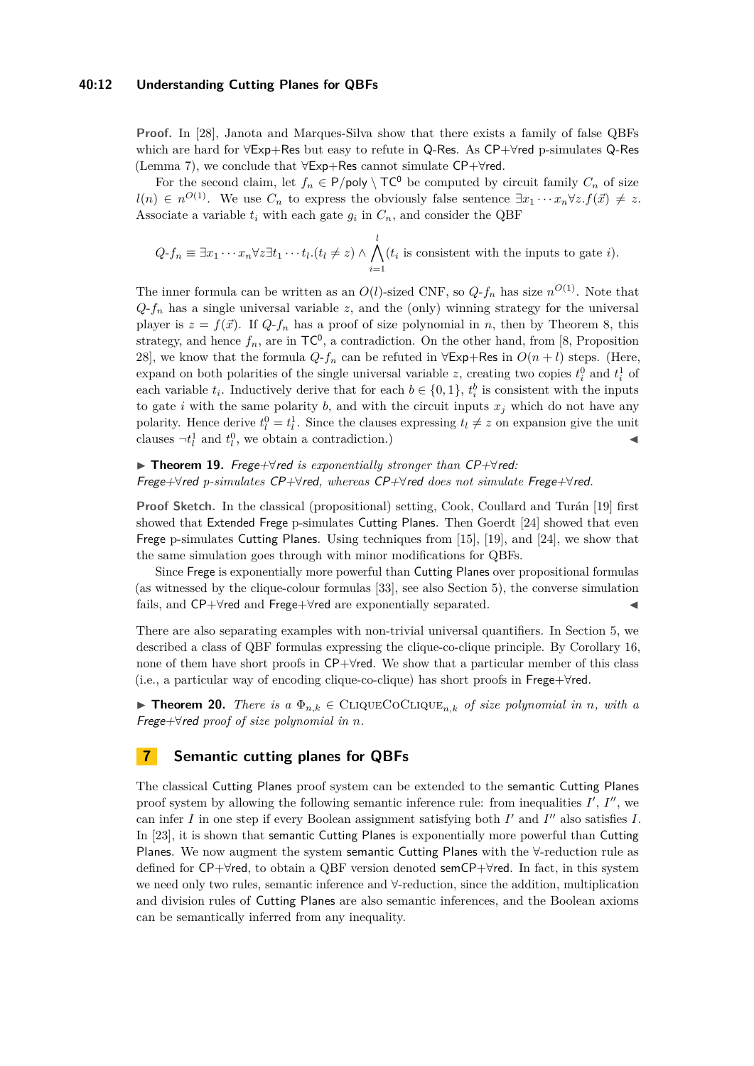## **40:12 Understanding Cutting Planes for QBFs**

**Proof.** In [\[28\]](#page-14-4), Janota and Marques-Silva show that there exists a family of false QBFs which are hard for ∀Exp+Res but easy to refute in Q-Res. As CP+∀red p-simulates Q-Res (Lemma [7\)](#page-6-1), we conclude that ∀Exp+Res cannot simulate CP+∀red.

For the second claim, let  $f_n \in P/\text{poly} \setminus TC^0$  be computed by circuit family  $C_n$  of size  $l(n) \in n^{O(1)}$ . We use  $C_n$  to express the obviously false sentence  $\exists x_1 \cdots x_n \forall z . f(\vec{x}) \neq z$ . Associate a variable  $t_i$  with each gate  $g_i$  in  $C_n$ , and consider the QBF

$$
Q-f_n \equiv \exists x_1 \cdots x_n \forall z \exists t_1 \cdots t_l. (t_l \neq z) \land \bigwedge_{i=1}^l (t_i \text{ is consistent with the inputs to gate } i).
$$

The inner formula can be written as an  $O(l)$ -sized CNF, so  $Q$ - $f_n$  has size  $n^{O(1)}$ . Note that  $Q$ - $f_n$  has a single universal variable *z*, and the (only) winning strategy for the universal player is  $z = f(\vec{x})$ . If  $Q$ - $f_n$  has a proof of size polynomial in *n*, then by Theorem [8,](#page-7-1) this strategy, and hence  $f_n$ , are in  $TC^0$ , a contradiction. On the other hand, from [\[8,](#page-13-2) Proposition 28], we know that the formula  $Q$ - $f_n$  can be refuted in  $\forall$ Exp+Res in  $O(n+l)$  steps. (Here, expand on both polarities of the single universal variable *z*, creating two copies  $t_i^0$  and  $t_i^1$  of each variable  $t_i$ . Inductively derive that for each  $b \in \{0,1\}$ ,  $t_i^b$  is consistent with the inputs to gate *i* with the same polarity *b*, and with the circuit inputs  $x_j$  which do not have any polarity. Hence derive  $t_l^0 = t_l^1$ . Since the clauses expressing  $t_l \neq z$  on expansion give the unit clauses  $\neg t_l^1$  and  $t_l^0$ , we obtain a contradiction.)

## <span id="page-11-1"></span>I **Theorem 19.** Frege+∀red *is exponentially stronger than* CP+∀red*:* Frege+∀red *p-simulates* CP+∀red*, whereas* CP+∀red *does not simulate* Frege+∀red*.*

**Proof Sketch.** In the classical (propositional) setting, Cook, Coullard and Turán [\[19\]](#page-13-10) first showed that Extended Frege p-simulates Cutting Planes. Then Goerdt [\[24\]](#page-13-13) showed that even Frege p-simulates Cutting Planes. Using techniques from [\[15\]](#page-13-19), [\[19\]](#page-13-10), and [\[24\]](#page-13-13), we show that the same simulation goes through with minor modifications for QBFs.

Since Frege is exponentially more powerful than Cutting Planes over propositional formulas (as witnessed by the clique-colour formulas [\[33\]](#page-14-8), see also Section [5\)](#page-8-0), the converse simulation fails, and CP+∀red and Frege+∀red are exponentially separated. J

There are also separating examples with non-trivial universal quantifiers. In Section [5,](#page-8-0) we described a class of QBF formulas expressing the clique-co-clique principle. By Corollary [16,](#page-10-3) none of them have short proofs in CP+∀red. We show that a particular member of this class (i.e., a particular way of encoding clique-co-clique) has short proofs in Frege+∀red.

**► Theorem 20.** *There is a*  $\Phi_{n,k}$  ∈ CLIQUECOCLIQUE<sub>n,k</sub> of size polynomial in *n*, with a Frege+∀red *proof of size polynomial in n.*

## <span id="page-11-0"></span>**7 Semantic cutting planes for QBFs**

The classical Cutting Planes proof system can be extended to the semantic Cutting Planes proof system by allowing the following semantic inference rule: from inequalities  $I'$ ,  $I''$ , we can infer  $I$  in one step if every Boolean assignment satisfying both  $I'$  and  $I''$  also satisfies  $I$ . In [\[23\]](#page-13-14), it is shown that semantic Cutting Planes is exponentially more powerful than Cutting Planes. We now augment the system semantic Cutting Planes with the ∀-reduction rule as defined for CP+∀red, to obtain a QBF version denoted semCP+∀red. In fact, in this system we need only two rules, semantic inference and ∀-reduction, since the addition, multiplication and division rules of Cutting Planes are also semantic inferences, and the Boolean axioms can be semantically inferred from any inequality.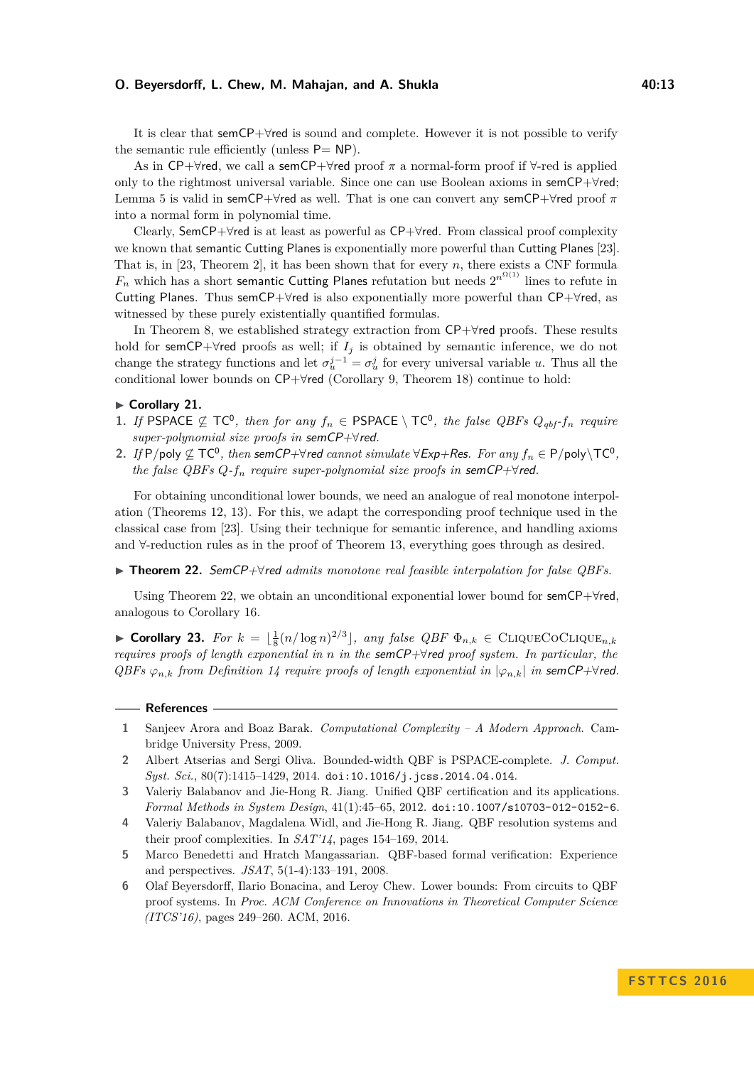## **O. Beyersdorff, L. Chew, M. Mahajan, and A. Shukla 40:13** 40:13

It is clear that semCP+∀red is sound and complete. However it is not possible to verify the semantic rule efficiently (unless  $P = NP$ ).

As in CP+∀red, we call a semCP+∀red proof *π* a normal-form proof if ∀-red is applied only to the rightmost universal variable. Since one can use Boolean axioms in semCP+∀red; Lemma [5](#page-6-2) is valid in semCP+∀red as well. That is one can convert any semCP+∀red proof *π* into a normal form in polynomial time.

Clearly, SemCP+∀red is at least as powerful as CP+∀red. From classical proof complexity we known that semantic Cutting Planes is exponentially more powerful than Cutting Planes [\[23\]](#page-13-14). That is, in [\[23,](#page-13-14) Theorem 2], it has been shown that for every *n*, there exists a CNF formula  $F_n$  which has a short semantic Cutting Planes refutation but needs  $2^{n^{\Omega(1)}}$  lines to refute in Cutting Planes. Thus semCP+∀red is also exponentially more powerful than CP+∀red, as witnessed by these purely existentially quantified formulas.

In Theorem [8,](#page-7-1) we established strategy extraction from CP+∀red proofs. These results hold for semCP+ $\forall$ red proofs as well; if  $I_j$  is obtained by semantic inference, we do not change the strategy functions and let  $\sigma_u^{j-1} = \sigma_u^j$  for every universal variable *u*. Thus all the conditional lower bounds on CP+∀red (Corollary [9,](#page-7-2) Theorem [18\)](#page-10-1) continue to hold:

## <span id="page-12-5"></span>► Corollary 21.

- **1.** If PSPACE  $\nsubseteq$  TC<sup>0</sup>, then for any  $f_n \in PSPACE \setminus TC^0$ , the false  $QBFs$   $Q_{qbf}$ - $f_n$  require *super-polynomial size proofs in* semCP+∀red*.*
- 2. If P/poly  $\nsubseteq TC^0$ , then semCP+ $\forall$ red *cannot simulate*  $\forall$ Exp+Res. For any  $f_n \in P$ /poly $\setminus TC^0$ , *the false QBFs*  $Q$ *-f<sub>n</sub> require super-polynomial size proofs in semCP+* $\forall$ *red.*

For obtaining unconditional lower bounds, we need an analogue of real monotone interpolation (Theorems [12,](#page-9-0) [13\)](#page-9-2). For this, we adapt the corresponding proof technique used in the classical case from [\[23\]](#page-13-14). Using their technique for semantic inference, and handling axioms and ∀-reduction rules as in the proof of Theorem [13,](#page-9-2) everything goes through as desired.

<span id="page-12-6"></span>I **Theorem 22.** SemCP+∀red *admits monotone real feasible interpolation for false QBFs.*

Using Theorem [22,](#page-12-6) we obtain an unconditional exponential lower bound for semCP+∀red, analogous to Corollary [16.](#page-10-3)

▶ Corollary 23. *For*  $k = \lfloor \frac{1}{8} (n/\log n)^{2/3} \rfloor$ , any false QBF  $\Phi_{n,k}$  ∈ CLIQUECOCLIQUE<sub>n,k</sub> *requires proofs of length exponential in n in the* semCP+∀red *proof system. In particular, the QBFs*  $\varphi_{n,k}$  *from Definition* [14](#page-9-1) *require proofs of length exponential in*  $|\varphi_{n,k}|$  *in* semCP+ $\forall$ red.

- <span id="page-12-7"></span>**1** Sanjeev Arora and Boaz Barak. *Computational Complexity – A Modern Approach*. Cambridge University Press, 2009.
- <span id="page-12-0"></span>**2** Albert Atserias and Sergi Oliva. Bounded-width QBF is PSPACE-complete. *J. Comput. Syst. Sci.*, 80(7):1415–1429, 2014. [doi:10.1016/j.jcss.2014.04.014](http://dx.doi.org/10.1016/j.jcss.2014.04.014).
- <span id="page-12-2"></span>**3** Valeriy Balabanov and Jie-Hong R. Jiang. Unified QBF certification and its applications. *Formal Methods in System Design*, 41(1):45–65, 2012. [doi:10.1007/s10703-012-0152-6](http://dx.doi.org/10.1007/s10703-012-0152-6).
- <span id="page-12-3"></span>**4** Valeriy Balabanov, Magdalena Widl, and Jie-Hong R. Jiang. QBF resolution systems and their proof complexities. In *SAT'14*, pages 154–169, 2014.
- <span id="page-12-1"></span>**5** Marco Benedetti and Hratch Mangassarian. QBF-based formal verification: Experience and perspectives. *JSAT*, 5(1-4):133–191, 2008.
- <span id="page-12-4"></span>**6** Olaf Beyersdorff, Ilario Bonacina, and Leroy Chew. Lower bounds: From circuits to QBF proof systems. In *Proc. ACM Conference on Innovations in Theoretical Computer Science (ITCS'16)*, pages 249–260. ACM, 2016.

**References**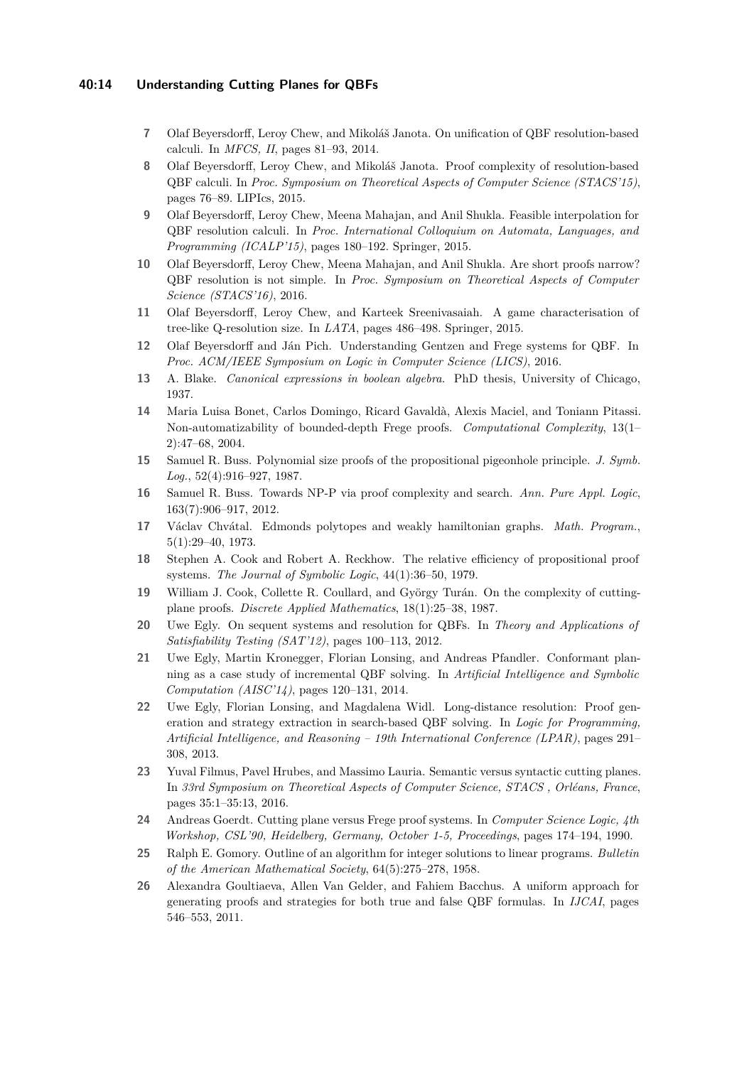## **40:14 Understanding Cutting Planes for QBFs**

- <span id="page-13-1"></span>**7** Olaf Beyersdorff, Leroy Chew, and Mikoláš Janota. On unification of QBF resolution-based calculi. In *MFCS, II*, pages 81–93, 2014.
- <span id="page-13-2"></span>**8** Olaf Beyersdorff, Leroy Chew, and Mikoláš Janota. Proof complexity of resolution-based QBF calculi. In *Proc. Symposium on Theoretical Aspects of Computer Science (STACS'15)*, pages 76–89. LIPIcs, 2015.
- <span id="page-13-3"></span>**9** Olaf Beyersdorff, Leroy Chew, Meena Mahajan, and Anil Shukla. Feasible interpolation for QBF resolution calculi. In *Proc. International Colloquium on Automata, Languages, and Programming (ICALP'15)*, pages 180–192. Springer, 2015.
- <span id="page-13-4"></span>**10** Olaf Beyersdorff, Leroy Chew, Meena Mahajan, and Anil Shukla. Are short proofs narrow? QBF resolution is not simple. In *Proc. Symposium on Theoretical Aspects of Computer Science (STACS'16)*, 2016.
- <span id="page-13-5"></span>**11** Olaf Beyersdorff, Leroy Chew, and Karteek Sreenivasaiah. A game characterisation of tree-like Q-resolution size. In *LATA*, pages 486–498. Springer, 2015.
- <span id="page-13-7"></span>**12** Olaf Beyersdorff and Ján Pich. Understanding Gentzen and Frege systems for QBF. In *Proc. ACM/IEEE Symposium on Logic in Computer Science (LICS)*, 2016.
- <span id="page-13-17"></span>**13** A. Blake. *Canonical expressions in boolean algebra*. PhD thesis, University of Chicago, 1937.
- <span id="page-13-9"></span>**14** Maria Luisa Bonet, Carlos Domingo, Ricard Gavaldà, Alexis Maciel, and Toniann Pitassi. Non-automatizability of bounded-depth Frege proofs. *Computational Complexity*, 13(1– 2):47–68, 2004.
- <span id="page-13-19"></span>**15** Samuel R. Buss. Polynomial size proofs of the propositional pigeonhole principle. *J. Symb. Log.*, 52(4):916–927, 1987.
- <span id="page-13-8"></span>**16** Samuel R. Buss. Towards NP-P via proof complexity and search. *Ann. Pure Appl. Logic*, 163(7):906–917, 2012.
- <span id="page-13-12"></span>**17** Václav Chvátal. Edmonds polytopes and weakly hamiltonian graphs. *Math. Program.*, 5(1):29–40, 1973.
- <span id="page-13-16"></span>**18** Stephen A. Cook and Robert A. Reckhow. The relative efficiency of propositional proof systems. *The Journal of Symbolic Logic*, 44(1):36–50, 1979.
- <span id="page-13-10"></span>**19** William J. Cook, Collette R. Coullard, and György Turán. On the complexity of cuttingplane proofs. *Discrete Applied Mathematics*, 18(1):25–38, 1987.
- <span id="page-13-6"></span>**20** Uwe Egly. On sequent systems and resolution for QBFs. In *Theory and Applications of Satisfiability Testing (SAT'12)*, pages 100–113, 2012.
- <span id="page-13-0"></span>**21** Uwe Egly, Martin Kronegger, Florian Lonsing, and Andreas Pfandler. Conformant planning as a case study of incremental QBF solving. In *Artificial Intelligence and Symbolic Computation (AISC'14)*, pages 120–131, 2014.
- <span id="page-13-18"></span>**22** Uwe Egly, Florian Lonsing, and Magdalena Widl. Long-distance resolution: Proof generation and strategy extraction in search-based QBF solving. In *Logic for Programming, Artificial Intelligence, and Reasoning – 19th International Conference (LPAR)*, pages 291– 308, 2013.
- <span id="page-13-14"></span>**23** Yuval Filmus, Pavel Hrubes, and Massimo Lauria. Semantic versus syntactic cutting planes. In *33rd Symposium on Theoretical Aspects of Computer Science, STACS , Orléans, France*, pages 35:1–35:13, 2016.
- <span id="page-13-13"></span>**24** Andreas Goerdt. Cutting plane versus Frege proof systems. In *Computer Science Logic, 4th Workshop, CSL'90, Heidelberg, Germany, October 1-5, Proceedings*, pages 174–194, 1990.
- <span id="page-13-11"></span>**25** Ralph E. Gomory. Outline of an algorithm for integer solutions to linear programs. *Bulletin of the American Mathematical Society*, 64(5):275–278, 1958.
- <span id="page-13-15"></span>**26** Alexandra Goultiaeva, Allen Van Gelder, and Fahiem Bacchus. A uniform approach for generating proofs and strategies for both true and false QBF formulas. In *IJCAI*, pages 546–553, 2011.